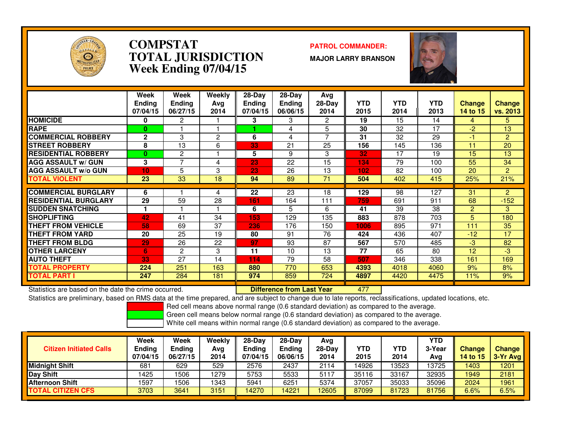

### **COMPSTAT PATROL COMMANDER: TOTAL JURISDICTIONWeek Ending 07/04/15**

**MAJOR LARRY BRANSON**



|                             | Week<br><b>Ending</b><br>07/04/15 | Week<br><b>Ending</b><br>06/27/15 | Weekly<br>Ava<br>2014 | $28$ -Day<br><b>Ending</b><br>07/04/15 | $28-Day$<br><b>Ending</b><br>06/06/15 | Avg<br>$28-Day$<br>2014 | <b>YTD</b><br>2015 | <b>YTD</b><br>2014 | <b>YTD</b><br>2013 | <b>Change</b><br>14 to 15 | <b>Change</b><br>vs. 2013 |
|-----------------------------|-----------------------------------|-----------------------------------|-----------------------|----------------------------------------|---------------------------------------|-------------------------|--------------------|--------------------|--------------------|---------------------------|---------------------------|
| <b>HOMICIDE</b>             | 0                                 | 2                                 |                       | 3                                      | 3                                     | 2                       | 19                 | 15                 | 14                 | 4                         | 5.                        |
| <b>RAPE</b>                 | $\bf{0}$                          |                                   |                       |                                        | 4                                     | 5                       | 30                 | 32                 | 17                 | $-2$                      | 13                        |
| <b>COMMERCIAL ROBBERY</b>   | $\mathbf{2}$                      | 3                                 | 2                     | 6                                      | 4                                     | 7                       | 31                 | 32                 | 29                 | -1                        | $\overline{2}$            |
| <b>STREET ROBBERY</b>       | 8                                 | 13                                | 6                     | 33                                     | 21                                    | 25                      | 156                | 145                | 136                | 11                        | 20                        |
| <b>RESIDENTIAL ROBBERY</b>  | $\bf{0}$                          | 2                                 |                       | 5                                      | 9                                     | 3                       | 32                 | 17                 | 19                 | 15                        | 13                        |
| <b>AGG ASSAULT w/ GUN</b>   | 3                                 | $\overline{\phantom{a}}$          | 4                     | 23                                     | 22                                    | 15                      | 134                | 79                 | 100                | 55                        | 34                        |
| <b>AGG ASSAULT w/o GUN</b>  | 10                                | 5                                 | 3                     | 23                                     | 26                                    | 13                      | 102                | 82                 | 100                | 20                        | $\overline{2}$            |
| <b>TOTAL VIOLENT</b>        | 23                                | 33                                | 18                    | 94                                     | 89                                    | 71                      | 504                | 402                | 415                | 25%                       | 21%                       |
|                             |                                   |                                   |                       |                                        |                                       |                         |                    |                    |                    |                           |                           |
| <b>COMMERCIAL BURGLARY</b>  | 6                                 |                                   | 4                     | 22                                     | 23                                    | 18                      | 129                | 98                 | 127                | 31                        | $\overline{2}$            |
| <b>RESIDENTIAL BURGLARY</b> | 29                                | 59                                | 28                    | 161                                    | 164                                   | 111                     | 759                | 691                | 911                | 68                        | $-152$                    |
| <b>SUDDEN SNATCHING</b>     |                                   |                                   |                       | 6                                      | 5                                     | 6                       | 41                 | 39                 | 38                 | $\overline{2}$            | 3                         |
| <b>SHOPLIFTING</b>          | 42                                | 41                                | 34                    | 153                                    | 129                                   | 135                     | 883                | 878                | 703                | 5.                        | 180                       |
| THEFT FROM VEHICLE          | 58                                | 69                                | 37                    | 236                                    | 176                                   | 150                     | 1006               | 895                | 971                | 111                       | 35                        |
| <b>THEFT FROM YARD</b>      | 20                                | 25                                | 19                    | 80                                     | 91                                    | 76                      | 424                | 436                | 407                | $-12$                     | 17                        |
| <b>THEFT FROM BLDG</b>      | 29                                | 26                                | 22                    | 97                                     | 93                                    | 87                      | 567                | 570                | 485                | $-3$                      | 82                        |
| <b>OTHER LARCENY</b>        | 6                                 | 2                                 | 3                     | 11                                     | 10                                    | 13                      | 77                 | 65                 | 80                 | 12                        | $-3$                      |
| <b>AUTO THEFT</b>           | 33                                | 27                                | 14                    | 114                                    | 79                                    | 58                      | 507                | 346                | 338                | 161                       | 169                       |
| TOTAL PROPERTY              | 224                               | 251                               | 163                   | 880                                    | 770                                   | 653                     | 4393               | 4018               | 4060               | 9%                        | 8%                        |
| TOTAL PART I                | 247                               | 284                               | 181                   | 974                                    | 859                                   | 724                     | 4897               | 4420               | 4475               | 11%                       | 9%                        |

Statistics are based on the date the crime occurred. **Difference from Last Year** 

<sup>477</sup>

 Statistics are preliminary, based on RMS data at the time prepared, and are subject to change due to late reports, reclassifications, updated locations, etc.Red cell means above normal range (0.6 standard deviation) as compared to the average.

Green cell means below normal range (0.6 standard deviation) as compared to the average.

|                                | Week                      | Week               | Weekly      | 28-Dav             | $28-Dav$                  | Avg              |                    |                    | YTD           |                           |                      |
|--------------------------------|---------------------------|--------------------|-------------|--------------------|---------------------------|------------------|--------------------|--------------------|---------------|---------------------------|----------------------|
| <b>Citizen Initiated Calls</b> | <b>Ending</b><br>07/04/15 | Ending<br>06/27/15 | Avg<br>2014 | Ending<br>07/04/15 | <b>Ending</b><br>06/06/15 | $28-Day$<br>2014 | <b>YTD</b><br>2015 | <b>YTD</b><br>2014 | 3-Year<br>Avg | <b>Change</b><br>14 to 15 | Change<br>$3-Yr$ Avg |
| <b>Midnight Shift</b>          | 681                       | 629                | 529         | 2576               | 2437                      | 2114             | 14926              | 13523              | 13725         | 1403                      | 1201                 |
| Day Shift                      | 1425                      | 506                | 1279        | 5753               | 5533                      | 5117             | 35116              | 33167              | 32935         | 1949                      | 2181                 |
| <b>Afternoon Shift</b>         | 1597                      | 506                | 1343        | 5941               | 6251                      | 5374             | 37057              | 35033              | 35096         | 2024                      | 1961                 |
| <b>TOTAL CITIZEN CFS</b>       | 3703                      | 3641               | 3151        | 14270              | 4221                      | 12605            | 87099              | 81723              | 81756         | 6.6%                      | 6.5%                 |
|                                |                           |                    |             |                    |                           |                  |                    |                    |               |                           |                      |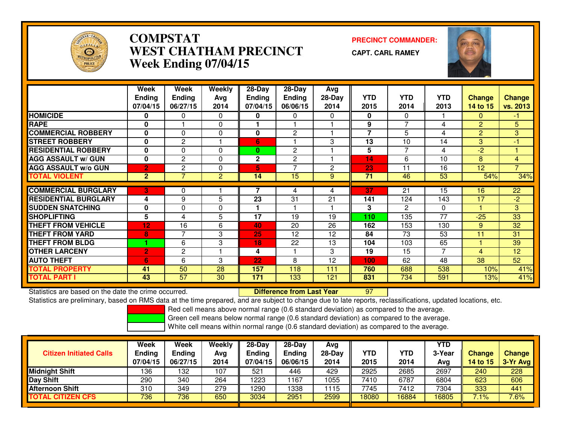

# **COMPSTAT PRECINCT COMMANDER: WEST CHATHAM PRECINCTWeek Ending 07/04/15**

**CAPT. CARL RAMEY**



|                             | Week<br><b>Ending</b><br>07/04/15 | Week<br><b>Ending</b><br>06/27/15 | <b>Weekly</b><br>Avq<br>2014 | 28-Day<br><b>Ending</b><br>07/04/15 | $28$ -Day<br><b>Ending</b><br>06/06/15 | Avg<br>$28-Day$<br>2014 | <b>YTD</b><br>2015 | <b>YTD</b><br>2014 | <b>YTD</b><br>2013 | <b>Change</b><br>14 to 15 | <b>Change</b><br>vs. 2013 |
|-----------------------------|-----------------------------------|-----------------------------------|------------------------------|-------------------------------------|----------------------------------------|-------------------------|--------------------|--------------------|--------------------|---------------------------|---------------------------|
| <b>HOMICIDE</b>             | $\bf{0}$                          | 0                                 | 0                            | 0                                   | 0                                      | 0                       | 0                  | $\Omega$           |                    | $\Omega$                  | $-1$                      |
| <b>RAPE</b>                 | 0                                 |                                   | 0                            |                                     |                                        |                         | 9                  | ⇁                  | 4                  | $\overline{2}$            | 5                         |
| <b>COMMERCIAL ROBBERY</b>   | 0                                 | $\Omega$                          | 0                            | 0                                   | $\mathbf{2}$                           |                         | $\overline{7}$     | 5                  | 4                  | $\overline{2}$            | 3                         |
| <b>STREET ROBBERY</b>       | 0                                 | $\overline{2}$                    |                              | 6                                   |                                        | 3                       | 13                 | 10                 | 14                 | 3                         | $-1$                      |
| <b>RESIDENTIAL ROBBERY</b>  | $\bf{0}$                          | $\Omega$                          | $\Omega$                     | 0                                   | $\mathbf{2}$                           |                         | 5                  | ⇁                  | 4                  | $-2$                      |                           |
| <b>AGG ASSAULT w/ GUN</b>   | $\bf{0}$                          | 2                                 | 0                            | $\mathbf 2$                         | $\mathbf{2}$                           |                         | 14                 | 6                  | 10                 | 8                         | 4                         |
| <b>AGG ASSAULT w/o GUN</b>  | $\overline{2}$                    | 2                                 | 0                            | 5                                   | 7                                      | 2                       | 23                 | 11                 | 16                 | 12                        | $\overline{7}$            |
| <b>TOTAL VIOLENT</b>        | $\mathbf{2}$                      | 7                                 | 2                            | 14                                  | 15                                     | 9                       | 71                 | 46                 | 53                 | 54%                       | 34%                       |
|                             |                                   |                                   |                              |                                     |                                        |                         |                    |                    |                    |                           |                           |
| <b>COMMERCIAL BURGLARY</b>  | 3                                 | 0                                 |                              |                                     | 4                                      | 4                       | 37                 | 21                 | 15                 | 16                        | 22                        |
| <b>RESIDENTIAL BURGLARY</b> | 4                                 | 9                                 | 5                            | 23                                  | 31                                     | 21                      | 141                | 124                | 143                | 17                        | $-2$                      |
| <b>SUDDEN SNATCHING</b>     | 0                                 | $\Omega$                          | 0                            |                                     |                                        |                         | 3                  | 2                  | $\Omega$           |                           | 3 <sup>1</sup>            |
| <b>SHOPLIFTING</b>          | 5                                 | 4                                 | 5                            | 17                                  | 19                                     | 19                      | 110                | 135                | 77                 | $-25$                     | 33                        |
| <b>THEFT FROM VEHICLE</b>   | 12                                | 16                                | 6                            | 40                                  | 20                                     | 26                      | 162                | 153                | 130                | 9                         | 32                        |
| <b>THEFT FROM YARD</b>      | 8                                 | 7                                 | 3                            | 25                                  | 12                                     | 12                      | 84                 | 73                 | 53                 | 11                        | 31                        |
| <b>THEFT FROM BLDG</b>      |                                   | 6                                 | 3                            | 18                                  | 22                                     | 13                      | 104                | 103                | 65                 |                           | 39                        |
| <b>OTHER LARCENY</b>        | $\overline{2}$                    | 2                                 | н                            | 4                                   |                                        | 3                       | 19                 | 15                 | 7                  | 4                         | 12                        |
| <b>AUTO THEFT</b>           | 6                                 | 6                                 | 3                            | 22                                  | 8                                      | 12                      | 100                | 62                 | 48                 | 38                        | 52                        |
| <b>TOTAL PROPERTY</b>       | 41                                | 50                                | 28                           | 157                                 | 118                                    | 111                     | 760                | 688                | 538                | 10%                       | 41%                       |
| <b>TOTAL PART I</b>         | 43                                | $\overline{57}$                   | 30                           | 171                                 | 133                                    | 121                     | 831                | 734                | 591                | 13%                       | 41%                       |

Statistics are based on the date the crime occurred. **Difference from Last Year** 

Statistics are based on the date the crime occurred.<br>Statistics are preliminary, based on RMS data at the time prepared, and are subject to change due to late reports, reclassifications, updated locations, etc.

Red cell means above normal range (0.6 standard deviation) as compared to the average.

Green cell means below normal range (0.6 standard deviation) as compared to the average.

| <b>Citizen Initiated Calls</b> | Week<br><b>Ending</b><br>07/04/15 | <b>Week</b><br><b>Ending</b><br>06/27/15 | Weekly<br>Avg<br>2014 | $28-Dav$<br><b>Ending</b><br>07/04/15 | $28 - Day$<br><b>Ending</b><br>06/06/15 | Avg<br>28-Day<br>2014 | YTD<br>2015 | YTD<br>2014 | YTD<br>3-Year<br>Avg | <b>Change</b><br>14 to 15 | <b>Change</b><br>3-Yr Avg |
|--------------------------------|-----------------------------------|------------------------------------------|-----------------------|---------------------------------------|-----------------------------------------|-----------------------|-------------|-------------|----------------------|---------------------------|---------------------------|
| <b>Midnight Shift</b>          | 136                               | 132                                      | 107                   | 521                                   | 446                                     | 429                   | 2925        | 2685        | 2697                 | 240                       | 228                       |
| Day Shift                      | 290                               | 340                                      | 264                   | 1223                                  | 167                                     | 1055                  | 7410        | 6787        | 6804                 | 623                       | 606                       |
| <b>Afternoon Shift</b>         | 310                               | 349                                      | 279                   | 1290                                  | 338                                     | 1115                  | 7745        | 7412        | 7304                 | 333                       | 441                       |
| <b>TOTAL CITIZEN CFS</b>       | 736                               | 736                                      | 650                   | 3034                                  | 2951                                    | 2599                  | 18080       | 16884       | 16805                | 7.1%                      | 7.6%                      |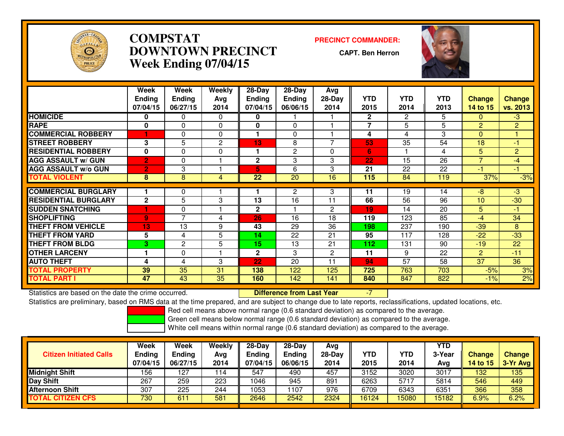

# **COMPSTAT PRECINCT COMMANDER: DOWNTOWN PRECINCTWeek Ending 07/04/15**

**CAPT. Ben Herron**



|                             | Week           | Week           | <b>Weekly</b> | 28-Day          | 28-Day          | Avg            |                |                |            |                          |                |
|-----------------------------|----------------|----------------|---------------|-----------------|-----------------|----------------|----------------|----------------|------------|--------------------------|----------------|
|                             | <b>Ending</b>  | <b>Ending</b>  | Avg           | Ending          | <b>Ending</b>   | 28-Day         | <b>YTD</b>     | <b>YTD</b>     | <b>YTD</b> | <b>Change</b>            | <b>Change</b>  |
|                             | 07/04/15       | 06/27/15       | 2014          | 07/04/15        | 06/06/15        | 2014           | 2015           | 2014           | 2013       | 14 to 15                 | vs. 2013       |
| HOMICIDE                    | 0              | 0              | 0             | 0               |                 |                | $\mathbf{2}$   | $\overline{2}$ | 5.         | $\Omega$                 | $-3$           |
| <b>RAPE</b>                 | $\bf{0}$       | $\Omega$       | 0             | 0               | $\Omega$        |                | $\overline{7}$ | 5              | 5          | $\overline{2}$           | $\overline{2}$ |
| <b>COMMERCIAL ROBBERY</b>   |                | 0              | 0             |                 | $\Omega$        |                | 4              | 4              | 3          | $\Omega$                 |                |
| <b>STREET ROBBERY</b>       | 3              | 5              | 2             | 13              | 8               | ⇁              | 53             | 35             | 54         | 18                       | $-1$           |
| <b>RESIDENTIAL ROBBERY</b>  | 0              | $\Omega$       | $\mathbf 0$   |                 | 2               | $\Omega$       | 6              |                | 4          | 5.                       | $\mathbf{2}$   |
| <b>AGG ASSAULT w/ GUN</b>   | $\overline{2}$ | 0              |               | $\mathbf{2}$    | 3               | 3              | 22             | 15             | 26         | $\overline{\phantom{a}}$ | $-4$           |
| <b>AGG ASSAULT w/o GUN</b>  | $\overline{2}$ | 3              |               | 5.              | 6               | 3              | 21             | 22             | 22         | -1                       | $-1$           |
| <b>TOTAL VIOLENT</b>        | 8              | 8              | 4             | $\overline{22}$ | $\overline{20}$ | 16             | 115            | 84             | 119        | 37%                      | $-3%$          |
|                             |                |                |               |                 |                 |                |                |                |            |                          |                |
| <b>COMMERCIAL BURGLARY</b>  |                | 0              |               |                 | $\overline{2}$  | 3              | 11             | 19             | 14         | $-8$                     | $-3$           |
| <b>RESIDENTIAL BURGLARY</b> | $\mathbf{2}$   | 5              | 3             | 13              | 16              | 11             | 66             | 56             | 96         | 10                       | $-30$          |
| <b>SUDDEN SNATCHING</b>     |                | $\Omega$       |               | $\mathbf 2$     |                 | $\overline{2}$ | 19             | 14             | 20         | 5.                       | $-1$           |
| <b>SHOPLIFTING</b>          | $\overline{9}$ | ⇁              | 4             | 26              | 16              | 18             | 119            | 123            | 85         | $-4$                     | 34             |
| <b>THEFT FROM VEHICLE</b>   | 13             | 13             | 9             | 43              | 29              | 36             | 198            | 237            | 190        | $-39$                    | 8              |
| <b>THEFT FROM YARD</b>      | 5              | 4              | 5             | 14              | 22              | 21             | 95             | 117            | 128        | $-22$                    | $-33$          |
| <b>THEFT FROM BLDG</b>      | 3              | $\overline{2}$ | 5             | 15              | 13              | 21             | 112            | 131            | 90         | $-19$                    | 22             |
| <b>OTHER LARCENY</b>        |                | $\Omega$       |               | $\mathbf{2}$    | 3               | 2              | 11             | 9              | 22         | $\overline{2}$           | $-11$          |
| <b>AUTO THEFT</b>           | 4              | 4              | 3             | 22              | 20              | 11             | 94             | 57             | 58         | 37                       | 36             |
| <b>TOTAL PROPERTY</b>       | 39             | 35             | 31            | 138             | 122             | 125            | 725            | 763            | 703        | $-5%$                    | 3%             |
| TOTAL PART I                | 47             | 43             | 35            | 160             | 142             | 141            | 840            | 847            | 822        | $-1%$                    | 2%             |

Statistics are based on the date the crime occurred. **Difference from Last Year** 

Statistics are based on the date the crime occurred. **Extence to the Unifference from Last Year Fight** 17 --7 I<br>Statistics are preliminary, based on RMS data at the time prepared, and are subject to change due to late repo

Red cell means above normal range (0.6 standard deviation) as compared to the average.

Green cell means below normal range (0.6 standard deviation) as compared to the average.

| <b>Citizen Initiated Calls</b> | Week<br><b>Ending</b><br>07/04/15 | Week<br><b>Ending</b><br>06/27/15 | Weekly<br>Avg<br>2014 | $28-Dav$<br>Ending<br>07/04/15 | $28-Dav$<br><b>Ending</b><br>06/06/15 | Avg<br>$28-Day$<br>2014 | YTD<br>2015 | <b>YTD</b><br>2014 | YTD<br>3-Year<br>Avg | <b>Change</b><br><b>14 to 15</b> | Change<br>$3-Yr$ Avg |
|--------------------------------|-----------------------------------|-----------------------------------|-----------------------|--------------------------------|---------------------------------------|-------------------------|-------------|--------------------|----------------------|----------------------------------|----------------------|
| <b>Midnight Shift</b>          | 156                               | 127                               | 114                   | 547                            | 490                                   | 457                     | 3152        | 3020               | 3017                 | 132                              | 135                  |
| <b>Day Shift</b>               | 267                               | 259                               | 223                   | 1046                           | 945                                   | 891                     | 6263        | 5717               | 5814                 | 546                              | 449                  |
| <b>Afternoon Shift</b>         | 307                               | 225                               | 244                   | 1053                           | 107                                   | 976                     | 6709        | 6343               | 6351                 | 366                              | 358                  |
| <b>TOTAL CITIZEN CFS</b>       | 730                               | 611                               | 581                   | 2646                           | 2542                                  | 2324                    | 16124       | 5080               | 15182                | 6.9%                             | 6.2%                 |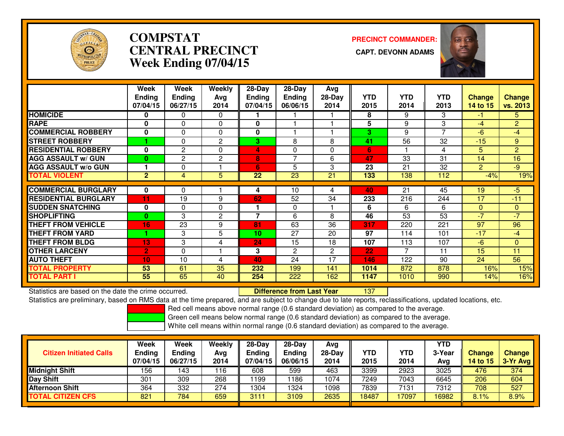

# **COMPSTATCENTRAL PRECINCT Week Ending 07/04/15**

**PRECINCT COMMANDER:**



|                             | Week<br><b>Ending</b><br>07/04/15 | Week<br><b>Ending</b><br>06/27/15 | Weekly<br>Ava<br>2014 | 28-Day<br>Ending<br>07/04/15 | $28$ -Day<br><b>Ending</b><br>06/06/15 | Avg<br>$28-Day$<br>2014 | <b>YTD</b><br>2015 | <b>YTD</b><br>2014 | <b>YTD</b><br>2013 | <b>Change</b><br>14 to 15 | <b>Change</b><br>vs. 2013 |
|-----------------------------|-----------------------------------|-----------------------------------|-----------------------|------------------------------|----------------------------------------|-------------------------|--------------------|--------------------|--------------------|---------------------------|---------------------------|
| <b>HOMICIDE</b>             | 0                                 | 0                                 | $\Omega$              |                              |                                        |                         | 8                  | 9                  | 3                  | $-1$                      | 5.                        |
| <b>RAPE</b>                 | 0                                 | 0                                 | $\Omega$              | 0                            |                                        |                         | 5                  | 9                  | 3                  | $-4$                      | $\overline{2}$            |
| <b>COMMERCIAL ROBBERY</b>   | 0                                 | 0                                 | 0                     | 0                            |                                        |                         | 3                  | 9                  | 7                  | $-6$                      | $-4$                      |
| <b>STREET ROBBERY</b>       |                                   | 0                                 | 2                     | 3.                           | 8                                      | 8                       | 41                 | 56                 | 32                 | $-15$                     | 9                         |
| <b>RESIDENTIAL ROBBERY</b>  | 0                                 | 2                                 | $\Omega$              | 4                            | $\Omega$                               | $\Omega$                | 6                  |                    | 4                  | 5.                        | $\overline{2}$            |
| <b>AGG ASSAULT w/ GUN</b>   | $\bf{0}$                          | 2                                 | $\mathbf{2}$          | 8                            | $\overline{ }$                         | 6                       | 47                 | 33                 | 31                 | 14                        | 16                        |
| <b>AGG ASSAULT W/o GUN</b>  |                                   | 0                                 |                       | 6                            | 5                                      | 3                       | 23                 | 21                 | 32                 | $\overline{2}$            | $-9$                      |
| <b>TOTAL VIOLENT</b>        | $\overline{2}$                    | 4                                 | 5                     | $\overline{22}$              | $\overline{23}$                        | 21                      | 133                | 138                | 112                | $-4%$                     | 19%                       |
|                             |                                   |                                   |                       |                              |                                        |                         |                    |                    |                    |                           |                           |
| <b>COMMERCIAL BURGLARY</b>  | 0                                 | 0                                 |                       | 4                            | 10                                     | 4                       | 40                 | 21                 | 45                 | 19                        | $-5$                      |
| <b>RESIDENTIAL BURGLARY</b> | 11                                | 19                                | 9                     | 62                           | 52                                     | 34                      | 233                | 216                | 244                | 17                        | $-11$                     |
| <b>SUDDEN SNATCHING</b>     | 0                                 | 0                                 | $\Omega$              |                              | 0                                      |                         | 6                  | 6                  | 6                  | $\Omega$                  | $\mathbf{0}$              |
| <b>SHOPLIFTING</b>          | $\bf{0}$                          | 3                                 | 2                     | 7                            | 6                                      | 8                       | 46                 | 53                 | 53                 | $-7$                      | $-7$                      |
| <b>THEFT FROM VEHICLE</b>   | 16                                | 23                                | 9                     | 81                           | 63                                     | 36                      | 317                | 220                | 221                | 97                        | 96                        |
| <b>THEFT FROM YARD</b>      |                                   | 3                                 | 5                     | 10                           | 27                                     | 20                      | 97                 | 114                | 101                | $-17$                     | $-4$                      |
| <b>THEFT FROM BLDG</b>      | 13                                | 3                                 | 4                     | 24                           | 15                                     | 18                      | 107                | 113                | 107                | $-6$                      | $\mathbf{0}$              |
| <b>OTHER LARCENY</b>        | $\overline{2}$                    | 0                                 |                       | 3                            | $\mathbf{2}$                           | $\overline{2}$          | 22                 | $\overline{ }$     | 11                 | 15                        | 11                        |
| <b>AUTO THEFT</b>           | 10                                | 10                                | 4                     | 40                           | 24                                     | 17                      | 146                | 122                | 90                 | 24                        | 56                        |
| <b>TOTAL PROPERTY</b>       | 53                                | 61                                | 35                    | 232                          | 199                                    | 141                     | 1014               | 872                | 878                | 16%                       | 15%                       |
| <b>TOTAL PART I</b>         | 55                                | 65                                | 40                    | 254                          | 222                                    | 162                     | 1147               | 1010               | 990                | 14%                       | 16%                       |

Statistics are based on the date the crime occurred. **Difference from Last Year** 

<sup>137</sup>

Statistics are preliminary, based on RMS data at the time prepared, and are subject to change due to late reports, reclassifications, updated locations, etc.

Red cell means above normal range (0.6 standard deviation) as compared to the average.

Green cell means below normal range (0.6 standard deviation) as compared to the average.

| <b>Citizen Initiated Calls</b> | Week<br><b>Ending</b><br>07/04/15 | Week<br><b>Ending</b><br>06/27/15 | Weekly<br>Avg<br>2014 | $28-Dav$<br><b>Ending</b><br>07/04/15 | $28-Dav$<br><b>Ending</b><br>06/06/15 | Ava<br>28-Day<br>2014 | YTD<br>2015 | <b>YTD</b><br>2014 | YTD<br>3-Year<br>Avg | <b>Change</b><br>14 to 15 | Change<br>3-Yr Avg |
|--------------------------------|-----------------------------------|-----------------------------------|-----------------------|---------------------------------------|---------------------------------------|-----------------------|-------------|--------------------|----------------------|---------------------------|--------------------|
| <b>Midnight Shift</b>          | 156                               | 143                               | 116                   | 608                                   | 599                                   | 463                   | 3399        | 2923               | 3025                 | 476                       | 374                |
| <b>Day Shift</b>               | 301                               | 309                               | 268                   | 199                                   | 186                                   | 1074                  | 7249        | 7043               | 6645                 | 206                       | 604                |
| Afternoon Shift                | 364                               | 332                               | 274                   | 1304                                  | 1324                                  | 1098                  | 7839        | 7131               | 7312                 | 708                       | 527                |
| <b>TOTAL CITIZEN CFS</b>       | 821                               | 784                               | 659                   | 3111                                  | 3109                                  | 2635                  | 18487       | 7097               | 16982                | 8.1%                      | 8.9%               |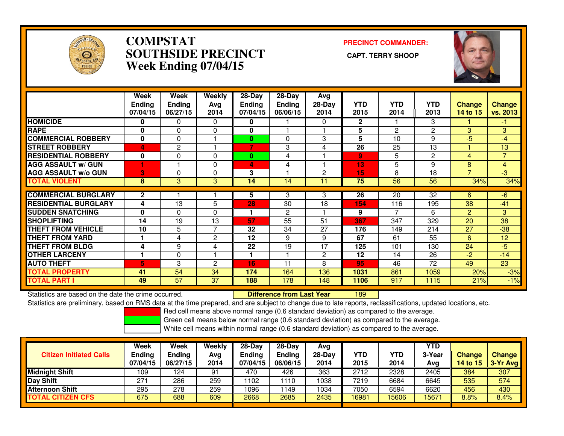

### **COMPSTAT PRECINCT COMMANDER: SOUTHSIDE PRECINCT CAPT. TERRY SHOOPWeek Ending 07/04/15**



|                             | Week<br><b>Ending</b><br>07/04/15 | Week<br><b>Ending</b><br>06/27/15 | Weekly<br>Avg<br>2014 | $28 - Day$<br><b>Endina</b><br>07/04/15 | $28-Day$<br><b>Ending</b><br>06/06/15 | Avg<br>$28-Dav$<br>2014 | <b>YTD</b><br>2015 | <b>YTD</b><br>2014 | YTD<br>2013 | <b>Change</b><br>14 to 15 | <b>Change</b><br>vs. 2013 |
|-----------------------------|-----------------------------------|-----------------------------------|-----------------------|-----------------------------------------|---------------------------------------|-------------------------|--------------------|--------------------|-------------|---------------------------|---------------------------|
| <b>HOMICIDE</b>             | 0                                 | 0                                 | 0                     | 0                                       |                                       | 0                       | $\mathbf{2}$       |                    | 3           |                           | -1                        |
| <b>RAPE</b>                 | $\mathbf{0}$                      | 0                                 | 0                     | 0                                       |                                       |                         | 5                  | $\overline{2}$     | 2           | 3                         | 3                         |
| <b>COMMERCIAL ROBBERY</b>   | $\bf{0}$                          | 0                                 |                       | 0                                       | 0                                     | 3                       | 5                  | 10                 | 9           | $-5$                      | $-4$                      |
| <b>STREET ROBBERY</b>       | 4                                 | $\mathbf{2}$                      |                       | 7                                       | 3                                     | 4                       | 26                 | 25                 | 13          |                           | 13                        |
| <b>RESIDENTIAL ROBBERY</b>  | 0                                 | 0                                 | 0                     | 0                                       | 4                                     |                         | 9                  | 5                  | 2           | 4                         | $\overline{7}$            |
| <b>AGG ASSAULT w/ GUN</b>   |                                   |                                   | 0                     | 4                                       | 4                                     |                         | 13                 | 5                  | 9           | 8                         | 4                         |
| <b>AGG ASSAULT w/o GUN</b>  | 3                                 | 0                                 | 0                     | 3                                       |                                       | 2                       | 15                 | 8                  | 18          |                           | $-3$                      |
| <b>TOTAL VIOLENT</b>        | 8                                 | 3                                 | 3                     | 14                                      | 14                                    | 11                      | 75                 | 56                 | 56          | 34%                       | 34%                       |
| <b>COMMERCIAL BURGLARY</b>  | $\mathbf{2}$                      |                                   |                       | 5                                       | 3                                     | 3                       | 26                 | 20                 | 32          | 6                         | $-6$                      |
| <b>RESIDENTIAL BURGLARY</b> | 4                                 | 13                                | 5                     | 28                                      | 30                                    | 18                      | 154                | 116                | 195         | 38                        | $-41$                     |
| <b>SUDDEN SNATCHING</b>     | $\mathbf{0}$                      | $\Omega$                          | $\Omega$              | 1                                       | 2                                     |                         | 9                  |                    | 6           | 2                         | 3                         |
|                             | 14                                |                                   |                       |                                         |                                       | 51                      |                    |                    |             |                           |                           |
| <b>SHOPLIFTING</b>          |                                   | 19                                | 13<br>7               | 57                                      | $\overline{55}$                       |                         | 367                | 347                | 329         | 20                        | 38                        |
| <b>THEFT FROM VEHICLE</b>   | 10                                | 5                                 |                       | 32                                      | 34                                    | 27                      | 176                | 149                | 214         | 27                        | $-38$                     |
| <b>THEFT FROM YARD</b>      |                                   | 4                                 | 2                     | 12                                      | 9                                     | 9                       | 67                 | 61                 | 55          | 6                         | 12                        |
| <b>THEFT FROM BLDG</b>      | 4                                 | 9                                 | 4                     | 22                                      | 19                                    | 17                      | 125                | 101                | 130         | 24                        | -5                        |
| <b>OTHER LARCENY</b>        |                                   | $\Omega$                          |                       | 1                                       |                                       | 2                       | 12                 | 14                 | 26          | $-2$                      | $-14$                     |
| <b>AUTO THEFT</b>           | 5                                 | 3                                 | 2                     | 16                                      | 11                                    | 8                       | 95                 | 46                 | 72          | 49                        | 23                        |
| TOTAL PROPERTY              | 41                                | 54                                | 34                    | 174                                     | 164                                   | 136                     | 1031               | 861                | 1059        | 20%                       | $-3%$                     |
| <b>TOTAL PART I</b>         | 49                                | 57                                | 37                    | 188                                     | 178                                   | 148                     | 1106               | 917                | 1115        | 21%                       | $-1%$                     |

Statistics are based on the date the crime occurred. **Difference from Last Year** 

<sup>189</sup>

Statistics are preliminary, based on RMS data at the time prepared, and are subject to change due to late reports, reclassifications, updated locations, etc.

Red cell means above normal range (0.6 standard deviation) as compared to the average.

Green cell means below normal range (0.6 standard deviation) as compared to the average.

| <b>Citizen Initiated Calls</b> | <b>Week</b><br><b>Ending</b><br>07/04/15 | Week<br>Ending<br>06/27/15 | Weekly<br>Avg<br>2014 | $28-Dav$<br>Endina<br>07/04/15 | $28-Dav$<br><b>Ending</b><br>06/06/15 | Ava<br>28-Dav<br>2014 | YTD<br>2015 | YTD<br>2014 | YTD<br>3-Year<br>Ava | <b>Change</b><br><b>14 to 15</b> | <b>Change</b><br>3-Yr Avg |
|--------------------------------|------------------------------------------|----------------------------|-----------------------|--------------------------------|---------------------------------------|-----------------------|-------------|-------------|----------------------|----------------------------------|---------------------------|
| <b>Midnight Shift</b>          | 109                                      | 124                        | 91                    | 470                            | 426                                   | 363                   | 2712        | 2328        | 2405                 | 384                              | 307                       |
| Day Shift                      | 271                                      | 286                        | 259                   | 1102                           | 110                                   | 1038                  | 7219        | 6684        | 6645                 | 535                              | 574                       |
| <b>Afternoon Shift</b>         | 295                                      | 278                        | 259                   | 1096                           | 149                                   | 1034                  | 7050        | 6594        | 6620                 | 456                              | 430                       |
| <b>TOTAL CITIZEN CFS</b>       | 675                                      | 688                        | 609                   | 2668                           | 2685                                  | 2435                  | 16981       | 5606        | 15671                | 8.8%                             | 8.4%                      |